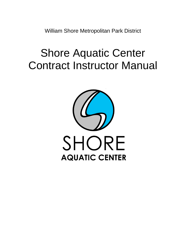William Shore Metropolitan Park District

# Shore Aquatic Center Contract Instructor Manual

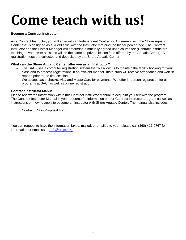# **Come teach with us!**

# **Become a Contract Instructor**

As a Contract Instructor, you will enter into an Independent Contractor Agreement with the Shore Aquatic Center that is designed as a 70/30 split, with the Instructor retaining the higher percentage. The Contract Instructor and the District Manager will determine a mutually agreed upon course fee (Contract Instructors teaching private swim sessions will be the same as private lesson fees offered by the Aquatic Center). All registration fees are collected and deposited by the Shore Aquatic Center.

# **What can the Shore Aquatic Center offer you as an Instructor?**

- The SAC uses a computer registration system that will allow us to maintain the facility booking for your class and to process registrations in an efficient manner. Instructors will receive attendance and waitlist reports prior to the first session.
- We accept cash, checks, Visa and MasterCard for payments. We offer in-person registration for all programs at SAC, as well as online registration.

# **Contract Instructor Manual**

Please review the information within this Contract Instructor Manual to acquaint yourself with the program. The Contract Instructor Manual is your resource for information on our Contract Instructor program as well as instructions on how to apply to become an Instructor with Shore Aquatic Center. The manual also includes:

Contract Class Proposal Form

You can request to have the information faxed, mailed, or emailed to you - please call (360) 417-9767 for information or email us at [info@sacpa.org.](mailto:info@sacpa.org.)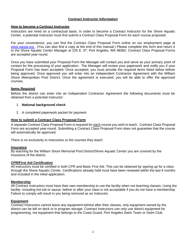# **Contract Instructor Information**

#### **How to become a Contract Instructor**

Instructors are hired on a contractual basis. In order to become a Contract Instructor for the Shore Aquatic Center, a potential Instructor must first submit a Contract Class Proposal Form for each course proposed.

For your convenience, you can find the Contract Class Proposal Form online on our employment page at www.sacpa.org . (You can also find a copy at the end of this manual.) Please complete this form and return it to the Shore Aquatic Center Manager at 225 E. 5<sup>th</sup>, Port Angeles, WA 98362. Contract Class Proposal Forms are accepted year-round.

Once you have submitted your Proposal Form the Manager will contact you and serve as your primary point of contact for the processing of your application. The Manager will review your paperwork and notify you if your Proposal Form has been accepted. Once accepted, you must provide the required items listed below before being approved. Once approved you will enter into an Independent Contractor Agreement with the William Shore Metropolitan Pool District. Once the agreement is executed, you will be able to offer the approved courses.

# **Items Required**

Before the district can enter into an Independent Contractor Agreement the following documents must be obtained from a potential Instructor:

#### 1. **National background check**

2. A completed paperwork packet for payment

#### **How to submit a Contract Class Proposal Form**

A separate Contract Class Proposal Form is required for each course you wish to teach. Contract Class Proposal Form are accepted year-round. Submitting a Contract Class Proposal Form does not guarantee that the course will automatically be approved.

There is no exclusivity to Instructors or the courses they teach.

#### **Insurance**

By teaching for the William Shore Memorial Pool District/Shore Aquatic Center you are covered by the insurance of the district.

#### **CPR/First Aid Certification**

All instructors must be certified in both CPR and Basic First Aid. This can be obtained by signing up for a class through the Shore Aquatic Center. Certifications already held must have been renewed within the last 6 months and included in the initial application.

#### **Membership**

All Contract Instructors must have their own membership to use the facility when not teaching classes. Using the facility- including hot tub or sauna- before or after your class is not acceptable if you do not have a membership. Failure to comply will result in you being removed as an Instructor.

#### **Equipment**

Contract Instructors cannot leave any equipment behind after their classes; only equipment owned by the district can be left on deck or in program storage. Contract Instructors can only use district equipment for programming, not equipment that belongs to the Coast Guard, Port Angeles Swim Team or Swim Club.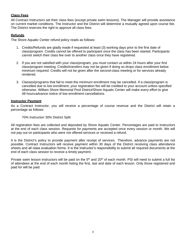# **Class Fees**

All Contract Instructors set their class fees (except private swim lessons). The Manager will provide assistance on current market conditions. The Instructor and the District will determine a mutually agreed upon course fee. The District reserves the right to approve all class fees.

# **Refunds**

The Shore Aquatic Center refund policy reads as follows:

- 1. Credits/Refunds are gladly made if requested at least (3) working days prior to the first date of class/program. Credits cannot be offered to participant once the class has been started. Participants cannot switch their class fee over to another class once they have registered.
- 2. If you are not satisfied with your class/program, you must contact us within 24 hours after your first class/program meeting. Credits/transfers may not be given if doing so drops class enrollment below minimum required. Credits will not be given after the second-class meeting or for services already rendered.
- 3. Classes/programs that fail to meet the minimum enrollment may be cancelled. If a class/program is cancelled due to low enrollment, your registration fee will be credited to your account unless specified otherwise. William Shore Memorial Pool District/Shore Aquatic Center will make every effort to give 48 hoursadvance notice of low enrollment cancellations.

# **Instructor Payment**

As a Contract Instructor, you will receive a percentage of course revenue and the District will retain a percentage as follows:

# 70% Instructor/ 30% District Split

All registration fees are collected and deposited by Shore Aquatic Center. Percentages are paid to Instructors at the end of each class session. Requests for payments are accepted once every session or month. We will not pay out on participants who were not offered services or received a refund.

It is the District's policy to provide payment after receipt of services. Therefore, advance payments are not possible. Contract Instructors will receive payment within 30 days of the District receiving class attendance sheets and all class evaluation forms. It is the Instructor's responsibility to submit all required documents at the end of each class session to receive a timely payment.

Private swim lesson instructors will be paid on the  $5<sup>th</sup>$  and  $20<sup>th</sup>$  of each month. PSI will need to submit a full list of attendees at the end of each month listing the first, last and date of each lesson. Only those registered and paid for will be paid.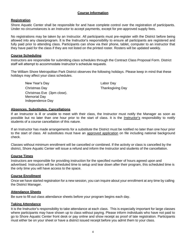# **Course Information**

# **Registration**

Shore Aquatic Center shall be responsible for and have complete control over the registration of participants. Under no circumstances is an Instructor to accept payments, except for pre-approved supply fees.

No registrations may be taken by an Instructor. All participants must pre-register with the District before being allowed into any class/program. It is the Instructor's responsibility to ensure all participants are registered and fully paid prior to attending class. Participants can show via their phone, tablet, computer to an instructor that they have paid for the class if they are not listed on the printed roster. Rosters will be updated weekly.

#### **Course Scheduling**

Instructors are responsible for submitting class schedules through the Contract Class Proposal Form. District staff will attempt to accommodate Instructor's schedule requests.

The William Shore Metropolitan Park District observes the following holidays. Please keep in mind that these holidays may affect your class schedules.

| New Year's Day             | Labor Day               |
|----------------------------|-------------------------|
| Christmas Day              | <b>Thanksgiving Day</b> |
| Christmas Eve (3pm close). |                         |
| <b>Memorial Day</b>        |                         |
| Independence Day           |                         |

# **Absences, Substitutes, Cancellations**

If an Instructor is ill or unable to meet with their class, the Instructor must notify the Manager as soon as possible but no later than one hour prior to the start of class. It is the **Instructor's** responsibility to notify students of a course cancellation of this nature.

If an Instructor has made arrangements for a substitute the District must be notified no later than one hour prior to the start of class. All substitutes must have an approved application on file including national background check.

Classes without minimum enrollment will be cancelled or combined. If the activity or class is cancelled by the district, Shore Aquatic Center will issue a refund and inform the Instructor and students of the cancellation.

# **Course Times**

Instructors are responsible for providing instruction for the specified number of hours agreed upon and advertised. Instructors will be scheduled time to setup and tear down after their program, this scheduled time is the only time you will have access to the space.

# **Course Enrollment**

Once we have started registration for a new session, you can inquire about your enrollment at any time by calling the District Manager.

#### **Attendance Sheets**

Be sure to fill out class attendance sheets before your program begins each day.

#### **Taking Attendance**

It is the Instructor's responsibility to take attendance at each class. This is especially important for large classes where participants may have shown up to class without paying. Please inform individuals who have not paid to go to Shore Aquatic Center front desk or pay online and show receipt as proof of late registration. Participants must either be on your sheet or have a district issued receipt before you admit them to your class.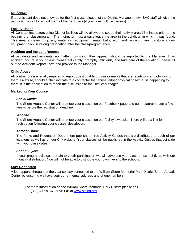#### **No-Shows**

If a participant does not show up for the first class, please let the District Manager know. SAC staff will give the participant a call to remind them of the next class (if you have multiple classes).

#### **Facility Usage**

All Contract Instructors using District facilities will be allowed to set up their activity area 15 minutes prior to the beginning of class/program. The Instructor must always leave the area in the condition in which it was found. This means cleaning up any materials (equipment, mats, balls, etc.) and replacing any furniture and/or equipment back in its original location after the class/program ends.

#### **Accident and Incident Reports**

All accidents and incidents, no matter how minor they appear, should be reported to the Manager. If an accident occurs in your class, please act calmly, promptly, efficiently and take care of the situation. Please fill out the Accident Report Form and provide to the Manager.

#### **Child Abuse**

All contractors are legally required to report questionable bruises or marks that are repetitious and obvious to them. Likewise, should a child indicate to a contractor that abuse, either physical or sexual, is happening to them, it is their obligation to report the discussion to the District Manager.

#### **Marketing Your Course**

#### *Social Media*

The Shore Aquatic Center will promote your classes on our Facebook page and our Instagram page a few weeks before the registration deadline.

#### *Website*

The Shore Aquatic Center will promote your classes on our facility's website. There will be a link for registration following your classes' description.

# *Activity Guide*

The Parks and Recreation Department publishes three Activity Guides that are distributed at each of our locations as well as on our City website. Your classes will be published in the Activity Guides that coincide with your class dates.

# *School Flyers*

If your program/classes pertain to youth participation we will advertise your class on school flyers with our monthly distribution. You will not be able to distribute your own flyers to the schools.

# **Stay Connected**

A lot happens throughout the year so stay connected to the William Shore Memorial Park District/Shore Aquatic Center by ensuring we have your current email address and phone numbers.

For more information on the William Shore Memorial Park District please call (360) 417-9767, or visit us at [www.sacpa.org](http://www.sacpa.org/)

.